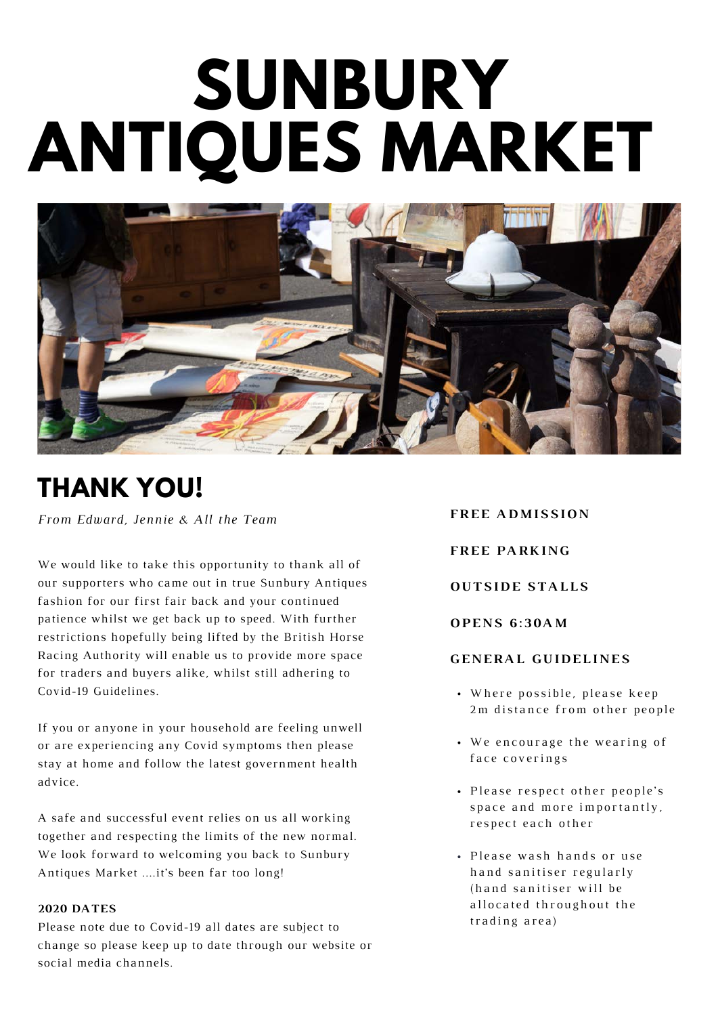# **SUNBURY ANTIQUES MARKET**



# **THANK YOU!**

*From Edward, Jennie & All the Team* 

We would like to take this opportunity to thank all of our supporters who came out in true Sunbury Antiques fashion for our first fair back and your continued patience whilst we get back up to speed. With further restrictions hopefully being lifted by the British Horse Racing Authority will enable us to provide more space for traders and buyers alike, whilst still adhering to Covid-19 Guidelines.

If you or anyone in your household are feeling unwell or are experiencing any Covid symptoms then please stay at home and follow the latest government health advice.

A safe and successful event relies on us all working together and respecting the limits of the new normal. We look forward to welcoming you back to Sunbury Antiques Market ....it's been far too long!

#### **2020 DATES**

Please note due to Covid-19 all dates are subject to change so please keep up to date through our website or social media channels.

- Where possible, please keep 2m distance from other people • We encourage the wearing of face coverings **FREE ADMISSION FREE PARKING OUTSIDE STALLS O P E N S 6 : 3 0 A M G E N E R A L G U I D E L I N E S**
	- Please respect other people's space and more importantly, respect each other
	- Please wash hands or use h and sanitiser regularly (hand sanitiser will be allocated throughout the trading area)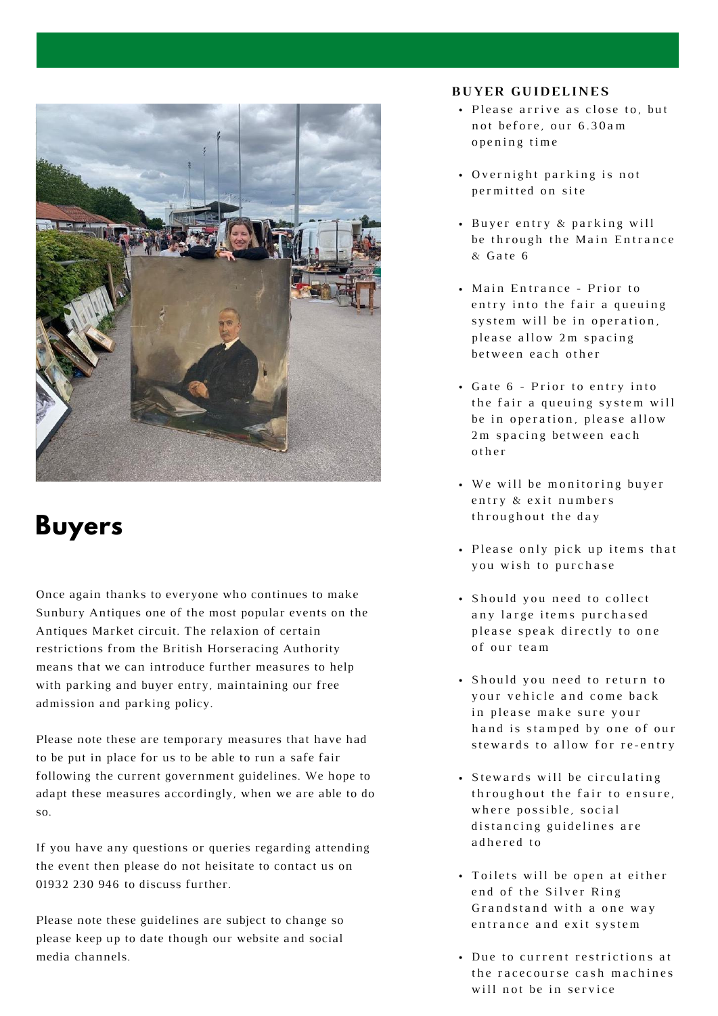

## **Buyers**

Once again thanks to everyone who continues to make Sunbury Antiques one of the most popular events on the Antiques Market circuit. The relaxion of certain restrictions from the British Horseracing Authority means that we can introduce further measures to help with parking and buyer entry, maintaining our free admission and parking policy.

Please note these are temporary measures that have had to be put in place for us to be able to run a safe fair following the current government guidelines. We hope to adapt these measures accordingly, when we are able to do so.

If you have any questions or queries regarding attending the event then please do not heisitate to contact us on 01932 230 946 to discuss further.

Please note these guidelines are subject to change so please keep up to date though our website and social media channels.

## **B U Y E R G U I D E L I N E S**

- · Please arrive as close to, but not before, our 6.30am opening time
- Overnight parking is not permitted on site
- Buyer entry & parking will be through the Main Entrance  $&$  Gate 6
- Main Entrance Prior to entry into the fair a queuing system will be in operation, please allow 2m spacing between each other
- Gate 6 Prior to entry into the fair a queuing system will be in operation, please allow 2m spacing between each o t h e r
- We will be monitoring buyer entry & exit numbers th roughout the day
- Please only pick up items that you wish to purchase
- · Should you need to collect any large items purchased please speak directly to one of our team
- · Should you need to return to your vehicle and come back in please make sure your h and is stamped by one of our stewards to allow for re-entry
- Stewards will be circulating th roughout the fair to ensure, where possible, social distancing guidelines are adhered to
- Toilets will be open at either end of the Silver Ring Grandstand with a one way entrance and exit system
- Due to current restrictions at the racecourse cash machines will not be in service